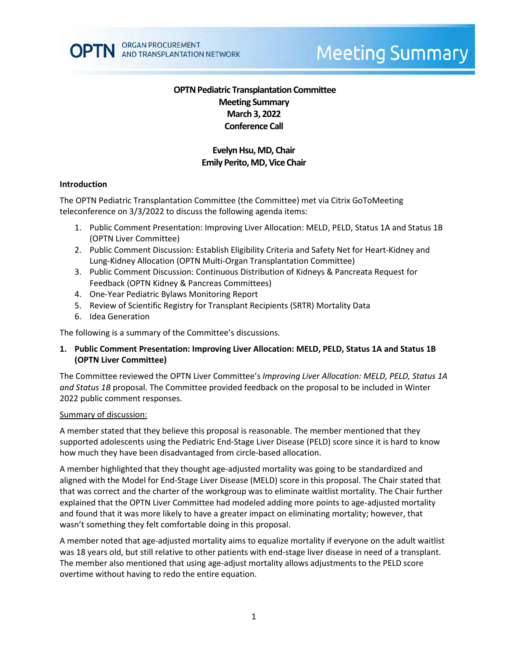# **Meeting Summary**

# **OPTN Pediatric Transplantation Committee Meeting Summary March 3, 2022 Conference Call**

# **Evelyn Hsu, MD, Chair Emily Perito, MD, Vice Chair**

## **Introduction**

The OPTN Pediatric Transplantation Committee (the Committee) met via Citrix GoToMeeting teleconference on 3/3/2022 to discuss the following agenda items:

- 1. Public Comment Presentation: Improving Liver Allocation: MELD, PELD, Status 1A and Status 1B (OPTN Liver Committee)
- 2. Public Comment Discussion: Establish Eligibility Criteria and Safety Net for Heart-Kidney and Lung-Kidney Allocation (OPTN Multi-Organ Transplantation Committee)
- 3. Public Comment Discussion: Continuous Distribution of Kidneys & Pancreata Request for Feedback (OPTN Kidney & Pancreas Committees)
- 4. One-Year Pediatric Bylaws Monitoring Report
- 5. Review of Scientific Registry for Transplant Recipients (SRTR) Mortality Data
- 6. Idea Generation

The following is a summary of the Committee's discussions.

## **1. Public Comment Presentation: Improving Liver Allocation: MELD, PELD, Status 1A and Status 1B (OPTN Liver Committee)**

The Committee reviewed the OPTN Liver Committee's *Improving Liver Allocation: MELD, PELD, Status 1A and Status 1B* proposal. The Committee provided feedback on the proposal to be included in Winter 2022 public comment responses.

### Summary of discussion:

A member stated that they believe this proposal is reasonable. The member mentioned that they supported adolescents using the Pediatric End-Stage Liver Disease (PELD) score since it is hard to know how much they have been disadvantaged from circle-based allocation.

A member highlighted that they thought age-adjusted mortality was going to be standardized and aligned with the Model for End-Stage Liver Disease (MELD) score in this proposal. The Chair stated that that was correct and the charter of the workgroup was to eliminate waitlist mortality. The Chair further explained that the OPTN Liver Committee had modeled adding more points to age-adjusted mortality and found that it was more likely to have a greater impact on eliminating mortality; however, that wasn't something they felt comfortable doing in this proposal.

A member noted that age-adjusted mortality aims to equalize mortality if everyone on the adult waitlist was 18 years old, but still relative to other patients with end-stage liver disease in need of a transplant. The member also mentioned that using age-adjust mortality allows adjustments to the PELD score overtime without having to redo the entire equation.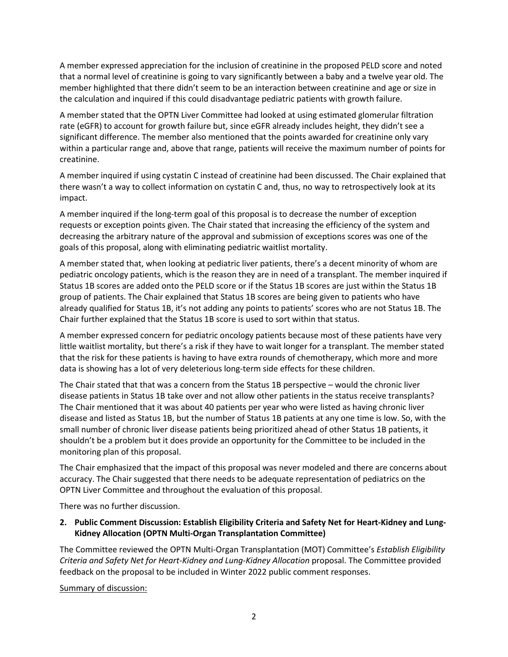A member expressed appreciation for the inclusion of creatinine in the proposed PELD score and noted that a normal level of creatinine is going to vary significantly between a baby and a twelve year old. The member highlighted that there didn't seem to be an interaction between creatinine and age or size in the calculation and inquired if this could disadvantage pediatric patients with growth failure.

A member stated that the OPTN Liver Committee had looked at using estimated glomerular filtration rate (eGFR) to account for growth failure but, since eGFR already includes height, they didn't see a significant difference. The member also mentioned that the points awarded for creatinine only vary within a particular range and, above that range, patients will receive the maximum number of points for creatinine.

A member inquired if using cystatin C instead of creatinine had been discussed. The Chair explained that there wasn't a way to collect information on cystatin C and, thus, no way to retrospectively look at its impact.

A member inquired if the long-term goal of this proposal is to decrease the number of exception requests or exception points given. The Chair stated that increasing the efficiency of the system and decreasing the arbitrary nature of the approval and submission of exceptions scores was one of the goals of this proposal, along with eliminating pediatric waitlist mortality.

A member stated that, when looking at pediatric liver patients, there's a decent minority of whom are pediatric oncology patients, which is the reason they are in need of a transplant. The member inquired if Status 1B scores are added onto the PELD score or if the Status 1B scores are just within the Status 1B group of patients. The Chair explained that Status 1B scores are being given to patients who have already qualified for Status 1B, it's not adding any points to patients' scores who are not Status 1B. The Chair further explained that the Status 1B score is used to sort within that status.

A member expressed concern for pediatric oncology patients because most of these patients have very little waitlist mortality, but there's a risk if they have to wait longer for a transplant. The member stated that the risk for these patients is having to have extra rounds of chemotherapy, which more and more data is showing has a lot of very deleterious long-term side effects for these children.

The Chair stated that that was a concern from the Status 1B perspective – would the chronic liver disease patients in Status 1B take over and not allow other patients in the status receive transplants? The Chair mentioned that it was about 40 patients per year who were listed as having chronic liver disease and listed as Status 1B, but the number of Status 1B patients at any one time is low. So, with the small number of chronic liver disease patients being prioritized ahead of other Status 1B patients, it shouldn't be a problem but it does provide an opportunity for the Committee to be included in the monitoring plan of this proposal.

The Chair emphasized that the impact of this proposal was never modeled and there are concerns about accuracy. The Chair suggested that there needs to be adequate representation of pediatrics on the OPTN Liver Committee and throughout the evaluation of this proposal.

There was no further discussion.

## **2. Public Comment Discussion: Establish Eligibility Criteria and Safety Net for Heart-Kidney and Lung-Kidney Allocation (OPTN Multi-Organ Transplantation Committee)**

The Committee reviewed the OPTN Multi-Organ Transplantation (MOT) Committee's *Establish Eligibility Criteria and Safety Net for Heart-Kidney and Lung-Kidney Allocation* proposal. The Committee provided feedback on the proposal to be included in Winter 2022 public comment responses.

Summary of discussion: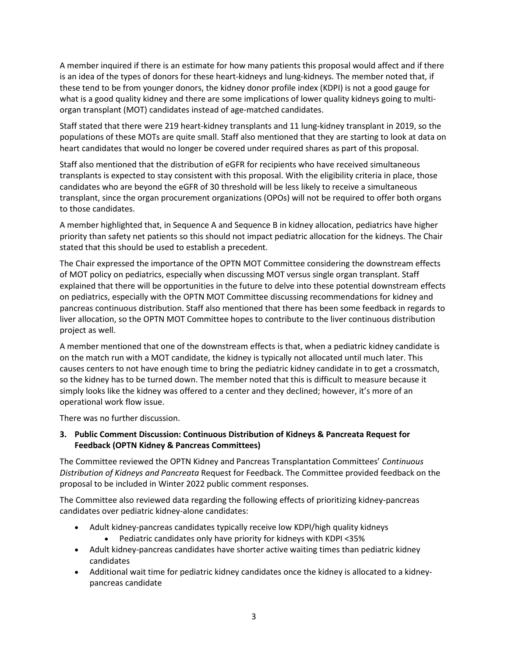A member inquired if there is an estimate for how many patients this proposal would affect and if there is an idea of the types of donors for these heart-kidneys and lung-kidneys. The member noted that, if these tend to be from younger donors, the kidney donor profile index (KDPI) is not a good gauge for what is a good quality kidney and there are some implications of lower quality kidneys going to multiorgan transplant (MOT) candidates instead of age-matched candidates.

Staff stated that there were 219 heart-kidney transplants and 11 lung-kidney transplant in 2019, so the populations of these MOTs are quite small. Staff also mentioned that they are starting to look at data on heart candidates that would no longer be covered under required shares as part of this proposal.

Staff also mentioned that the distribution of eGFR for recipients who have received simultaneous transplants is expected to stay consistent with this proposal. With the eligibility criteria in place, those candidates who are beyond the eGFR of 30 threshold will be less likely to receive a simultaneous transplant, since the organ procurement organizations (OPOs) will not be required to offer both organs to those candidates.

A member highlighted that, in Sequence A and Sequence B in kidney allocation, pediatrics have higher priority than safety net patients so this should not impact pediatric allocation for the kidneys. The Chair stated that this should be used to establish a precedent.

The Chair expressed the importance of the OPTN MOT Committee considering the downstream effects of MOT policy on pediatrics, especially when discussing MOT versus single organ transplant. Staff explained that there will be opportunities in the future to delve into these potential downstream effects on pediatrics, especially with the OPTN MOT Committee discussing recommendations for kidney and pancreas continuous distribution. Staff also mentioned that there has been some feedback in regards to liver allocation, so the OPTN MOT Committee hopes to contribute to the liver continuous distribution project as well.

A member mentioned that one of the downstream effects is that, when a pediatric kidney candidate is on the match run with a MOT candidate, the kidney is typically not allocated until much later. This causes centers to not have enough time to bring the pediatric kidney candidate in to get a crossmatch, so the kidney has to be turned down. The member noted that this is difficult to measure because it simply looks like the kidney was offered to a center and they declined; however, it's more of an operational work flow issue.

There was no further discussion.

## **3. Public Comment Discussion: Continuous Distribution of Kidneys & Pancreata Request for Feedback (OPTN Kidney & Pancreas Committees)**

The Committee reviewed the OPTN Kidney and Pancreas Transplantation Committees' *Continuous Distribution of Kidneys and Pancreata* Request for Feedback. The Committee provided feedback on the proposal to be included in Winter 2022 public comment responses.

The Committee also reviewed data regarding the following effects of prioritizing kidney-pancreas candidates over pediatric kidney-alone candidates:

- Adult kidney-pancreas candidates typically receive low KDPI/high quality kidneys
	- Pediatric candidates only have priority for kidneys with KDPI <35%
- Adult kidney-pancreas candidates have shorter active waiting times than pediatric kidney candidates
- Additional wait time for pediatric kidney candidates once the kidney is allocated to a kidneypancreas candidate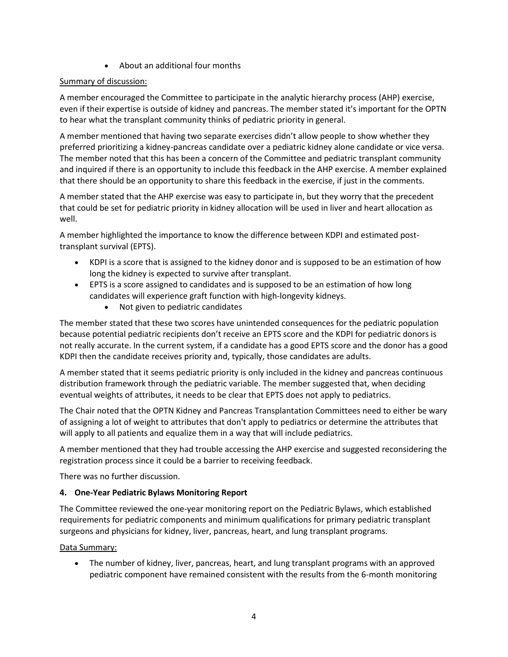• About an additional four months

# Summary of discussion:

A member encouraged the Committee to participate in the analytic hierarchy process (AHP) exercise, even if their expertise is outside of kidney and pancreas. The member stated it's important for the OPTN to hear what the transplant community thinks of pediatric priority in general.

A member mentioned that having two separate exercises didn't allow people to show whether they preferred prioritizing a kidney-pancreas candidate over a pediatric kidney alone candidate or vice versa. The member noted that this has been a concern of the Committee and pediatric transplant community and inquired if there is an opportunity to include this feedback in the AHP exercise. A member explained that there should be an opportunity to share this feedback in the exercise, if just in the comments.

A member stated that the AHP exercise was easy to participate in, but they worry that the precedent that could be set for pediatric priority in kidney allocation will be used in liver and heart allocation as well.

A member highlighted the importance to know the difference between KDPI and estimated posttransplant survival (EPTS).

- KDPI is a score that is assigned to the kidney donor and is supposed to be an estimation of how long the kidney is expected to survive after transplant.
- EPTS is a score assigned to candidates and is supposed to be an estimation of how long candidates will experience graft function with high-longevity kidneys.
	- Not given to pediatric candidates

The member stated that these two scores have unintended consequences for the pediatric population because potential pediatric recipients don't receive an EPTS score and the KDPI for pediatric donors is not really accurate. In the current system, if a candidate has a good EPTS score and the donor has a good KDPI then the candidate receives priority and, typically, those candidates are adults.

A member stated that it seems pediatric priority is only included in the kidney and pancreas continuous distribution framework through the pediatric variable. The member suggested that, when deciding eventual weights of attributes, it needs to be clear that EPTS does not apply to pediatrics.

The Chair noted that the OPTN Kidney and Pancreas Transplantation Committees need to either be wary of assigning a lot of weight to attributes that don't apply to pediatrics or determine the attributes that will apply to all patients and equalize them in a way that will include pediatrics.

A member mentioned that they had trouble accessing the AHP exercise and suggested reconsidering the registration process since it could be a barrier to receiving feedback.

There was no further discussion.

# **4. One-Year Pediatric Bylaws Monitoring Report**

The Committee reviewed the one-year monitoring report on the Pediatric Bylaws, which established requirements for pediatric components and minimum qualifications for primary pediatric transplant surgeons and physicians for kidney, liver, pancreas, heart, and lung transplant programs.

# Data Summary:

• The number of kidney, liver, pancreas, heart, and lung transplant programs with an approved pediatric component have remained consistent with the results from the 6-month monitoring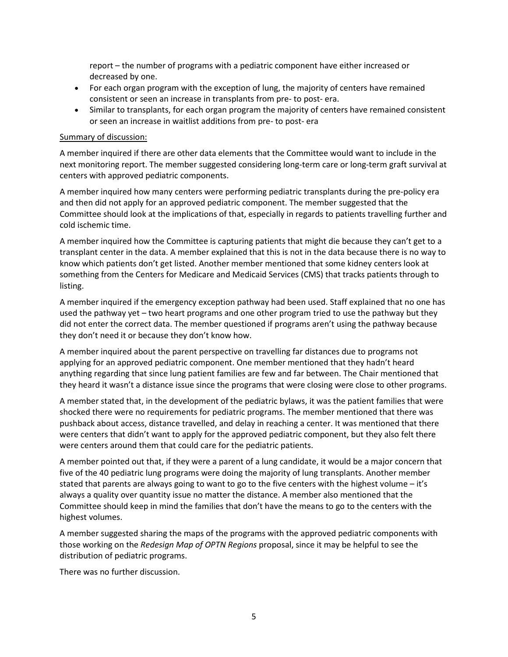report – the number of programs with a pediatric component have either increased or decreased by one.

- For each organ program with the exception of lung, the majority of centers have remained consistent or seen an increase in transplants from pre- to post- era.
- Similar to transplants, for each organ program the majority of centers have remained consistent or seen an increase in waitlist additions from pre- to post- era

## Summary of discussion:

A member inquired if there are other data elements that the Committee would want to include in the next monitoring report. The member suggested considering long-term care or long-term graft survival at centers with approved pediatric components.

A member inquired how many centers were performing pediatric transplants during the pre-policy era and then did not apply for an approved pediatric component. The member suggested that the Committee should look at the implications of that, especially in regards to patients travelling further and cold ischemic time.

A member inquired how the Committee is capturing patients that might die because they can't get to a transplant center in the data. A member explained that this is not in the data because there is no way to know which patients don't get listed. Another member mentioned that some kidney centers look at something from the Centers for Medicare and Medicaid Services (CMS) that tracks patients through to listing.

A member inquired if the emergency exception pathway had been used. Staff explained that no one has used the pathway yet – two heart programs and one other program tried to use the pathway but they did not enter the correct data. The member questioned if programs aren't using the pathway because they don't need it or because they don't know how.

A member inquired about the parent perspective on travelling far distances due to programs not applying for an approved pediatric component. One member mentioned that they hadn't heard anything regarding that since lung patient families are few and far between. The Chair mentioned that they heard it wasn't a distance issue since the programs that were closing were close to other programs.

A member stated that, in the development of the pediatric bylaws, it was the patient families that were shocked there were no requirements for pediatric programs. The member mentioned that there was pushback about access, distance travelled, and delay in reaching a center. It was mentioned that there were centers that didn't want to apply for the approved pediatric component, but they also felt there were centers around them that could care for the pediatric patients.

A member pointed out that, if they were a parent of a lung candidate, it would be a major concern that five of the 40 pediatric lung programs were doing the majority of lung transplants. Another member stated that parents are always going to want to go to the five centers with the highest volume – it's always a quality over quantity issue no matter the distance. A member also mentioned that the Committee should keep in mind the families that don't have the means to go to the centers with the highest volumes.

A member suggested sharing the maps of the programs with the approved pediatric components with those working on the *Redesign Map of OPTN Regions* proposal, since it may be helpful to see the distribution of pediatric programs.

There was no further discussion.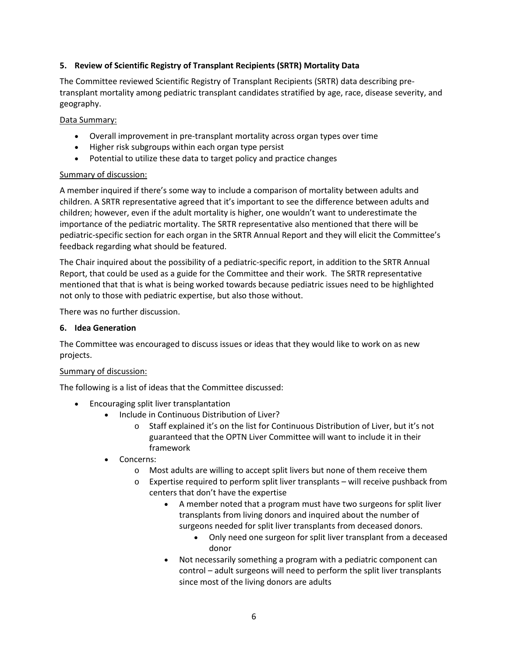## **5. Review of Scientific Registry of Transplant Recipients (SRTR) Mortality Data**

The Committee reviewed Scientific Registry of Transplant Recipients (SRTR) data describing pretransplant mortality among pediatric transplant candidates stratified by age, race, disease severity, and geography.

## Data Summary:

- Overall improvement in pre-transplant mortality across organ types over time
- Higher risk subgroups within each organ type persist
- Potential to utilize these data to target policy and practice changes

## Summary of discussion:

A member inquired if there's some way to include a comparison of mortality between adults and children. A SRTR representative agreed that it's important to see the difference between adults and children; however, even if the adult mortality is higher, one wouldn't want to underestimate the importance of the pediatric mortality. The SRTR representative also mentioned that there will be pediatric-specific section for each organ in the SRTR Annual Report and they will elicit the Committee's feedback regarding what should be featured.

The Chair inquired about the possibility of a pediatric-specific report, in addition to the SRTR Annual Report, that could be used as a guide for the Committee and their work. The SRTR representative mentioned that that is what is being worked towards because pediatric issues need to be highlighted not only to those with pediatric expertise, but also those without.

There was no further discussion.

## **6. Idea Generation**

The Committee was encouraged to discuss issues or ideas that they would like to work on as new projects.

## Summary of discussion:

The following is a list of ideas that the Committee discussed:

- Encouraging split liver transplantation
	- Include in Continuous Distribution of Liver?
		- o Staff explained it's on the list for Continuous Distribution of Liver, but it's not guaranteed that the OPTN Liver Committee will want to include it in their framework
	- Concerns:
		- o Most adults are willing to accept split livers but none of them receive them
		- $\circ$  Expertise required to perform split liver transplants will receive pushback from centers that don't have the expertise
			- A member noted that a program must have two surgeons for split liver transplants from living donors and inquired about the number of surgeons needed for split liver transplants from deceased donors.
				- Only need one surgeon for split liver transplant from a deceased donor
			- Not necessarily something a program with a pediatric component can control – adult surgeons will need to perform the split liver transplants since most of the living donors are adults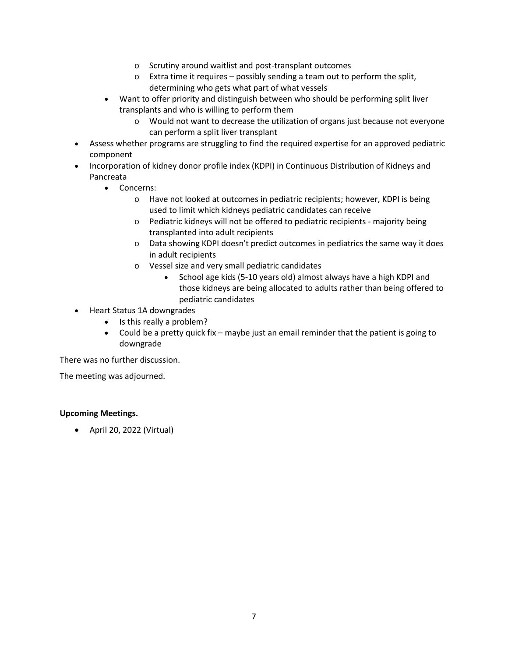- o Scrutiny around waitlist and post-transplant outcomes
- o Extra time it requires possibly sending a team out to perform the split, determining who gets what part of what vessels
- Want to offer priority and distinguish between who should be performing split liver transplants and who is willing to perform them
	- o Would not want to decrease the utilization of organs just because not everyone can perform a split liver transplant
- Assess whether programs are struggling to find the required expertise for an approved pediatric component
- Incorporation of kidney donor profile index (KDPI) in Continuous Distribution of Kidneys and Pancreata
	- Concerns:
		- o Have not looked at outcomes in pediatric recipients; however, KDPI is being used to limit which kidneys pediatric candidates can receive
		- o Pediatric kidneys will not be offered to pediatric recipients majority being transplanted into adult recipients
		- o Data showing KDPI doesn't predict outcomes in pediatrics the same way it does in adult recipients
		- o Vessel size and very small pediatric candidates
			- School age kids (5-10 years old) almost always have a high KDPI and those kidneys are being allocated to adults rather than being offered to pediatric candidates
- Heart Status 1A downgrades
	- Is this really a problem?
	- Could be a pretty quick fix maybe just an email reminder that the patient is going to downgrade

There was no further discussion.

The meeting was adjourned.

# **Upcoming Meetings.**

• April 20, 2022 (Virtual)